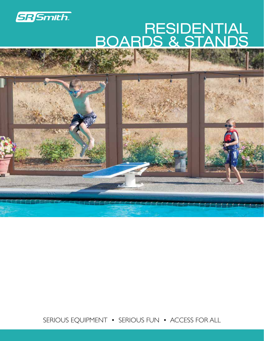

# BOARDS & STANDS RESIDENTIAL



SERIOUS EQUIPMENT • SERIOUS FUN • ACCESS FOR ALL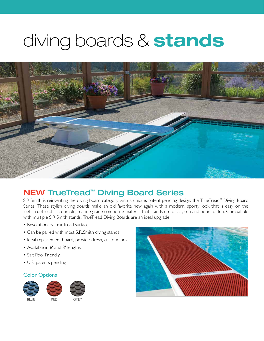# diving boards & stands



### NEW TrueTread™ Diving Board Series

S.R.Smith is reinventing the diving board category with a unique, patent pending design: the TrueTread™ Diving Board Series. These stylish diving boards make an old favorite new again with a modern, sporty look that is easy on the feet. TrueTread is a durable, marine grade composite material that stands up to salt, sun and hours of fun. Compatible with multiple S.R.Smith stands, TrueTread Diving Boards are an ideal upgrade.

- Revolutionary TrueTread surface
- Can be paired with most S.R.Smith diving stands
- Ideal replacement board, provides fresh, custom look
- Available in 6' and 8' lengths
- Salt Pool Friendly
- U.S. patents pending

#### Color Options



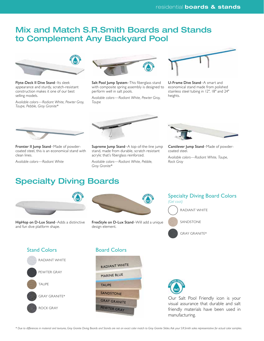#### Mix and Match S.R.Smith Boards and Stands to Complement Any Backyard Pool



Flyte-Deck II Dive Stand–Its sleek appearance and sturdy, scratch-resistant construction makes it one of our best selling models.

*Available colors—Radiant White, Pewter Gray, Taupe, Pebble, Gray Granite\**



Salt Pool Jump System-This fiberglass stand with composite spring assembly is designed to perform well in salt pools.

*Available colors—Radiant White, Pewter Gray, Taupe*



U-Frame Dive Stand–A smart and economical stand made from polished stainless steel tubing in 12", 18" and 24" heights.



Frontier II Jump Stand–Made of powdercoated steel, this is an economical stand with clean lines.

*Available colors—Radiant White*



Supreme Jump Stand–A top-of-the-line jump stand, made from durable, scratch resistant acrylic that's fiberglass reinforced.

*Available colors—Radiant White, Pebble, Gray Granite\**



Cantilever Jump Stand–Made of powdercoated steel.

*Available colors—Radiant White, Taupe, Rock Gray*

#### Specialty Diving Boards



HipHop on D-Lux Stand–Adds a distinctive and fun dive platform shape.



FreeStyle on D-Lux Stand–Will add a unique design element.

Specialty Diving Board Colors *(Gel coat)* RADIANT WHITE SANDSTONE GRAY GRANITE\*



#### Board Colors





Our Salt Pool Friendly icon is your visual assurance that durable and salt friendly materials have been used in manufacturing.